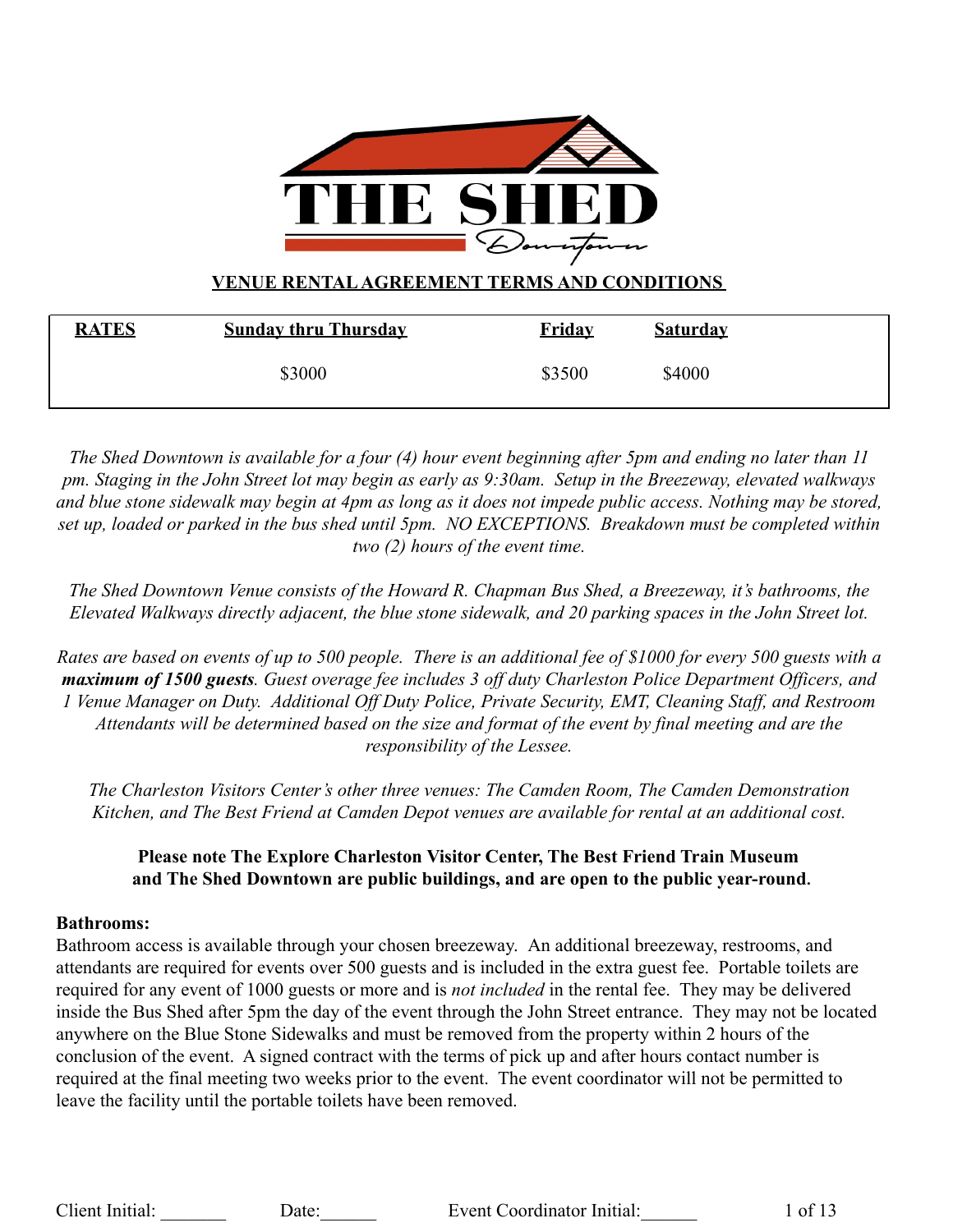

# **VENUE RENTALAGREEMENT TERMS AND CONDITIONS**

| <b>RATES</b> | <b>Sunday thru Thursday</b> | <u>Fridav</u> | <b>Saturday</b> |  |
|--------------|-----------------------------|---------------|-----------------|--|
|              | \$3000                      | \$3500        | \$4000          |  |

*The Shed Downtown is available for a four (4) hour event beginning after 5pm and ending no later than 11 pm. Staging in the John Street lot may begin as early as 9:30am. Setup in the Breezeway, elevated walkways and blue stone sidewalk may begin at 4pm as long as it does not impede public access. Nothing may be stored, set up, loaded or parked in the bus shed until 5pm. NO EXCEPTIONS. Breakdown must be completed within two (2) hours of the event time.*

*The Shed Downtown Venue consists of the Howard R. Chapman Bus Shed, a Breezeway, it's bathrooms, the Elevated Walkways directly adjacent, the blue stone sidewalk, and 20 parking spaces in the John Street lot.*

*Rates are based on events of up to 500 people. There is an additional fee of \$1000 for every 500 guests with a maximum of 1500 guests. Guest overage fee includes 3 off duty Charleston Police Department Officers, and 1 Venue Manager on Duty. Additional Off Duty Police, Private Security, EMT, Cleaning Staff, and Restroom Attendants will be determined based on the size and format of the event by final meeting and are the responsibility of the Lessee.*

*The Charleston Visitors Center's other three venues: The Camden Room, The Camden Demonstration Kitchen, and The Best Friend at Camden Depot venues are available for rental at an additional cost.*

## **Please note The Explore Charleston Visitor Center, The Best Friend Train Museum and The Shed Downtown are public buildings, and are open to the public year-round.**

## **Bathrooms:**

Bathroom access is available through your chosen breezeway. An additional breezeway, restrooms, and attendants are required for events over 500 guests and is included in the extra guest fee. Portable toilets are required for any event of 1000 guests or more and is *not included* in the rental fee. They may be delivered inside the Bus Shed after 5pm the day of the event through the John Street entrance. They may not be located anywhere on the Blue Stone Sidewalks and must be removed from the property within 2 hours of the conclusion of the event. A signed contract with the terms of pick up and after hours contact number is required at the final meeting two weeks prior to the event. The event coordinator will not be permitted to leave the facility until the portable toilets have been removed.

Client Initial: Date: Date: Event Coordinator Initial: 1 of 13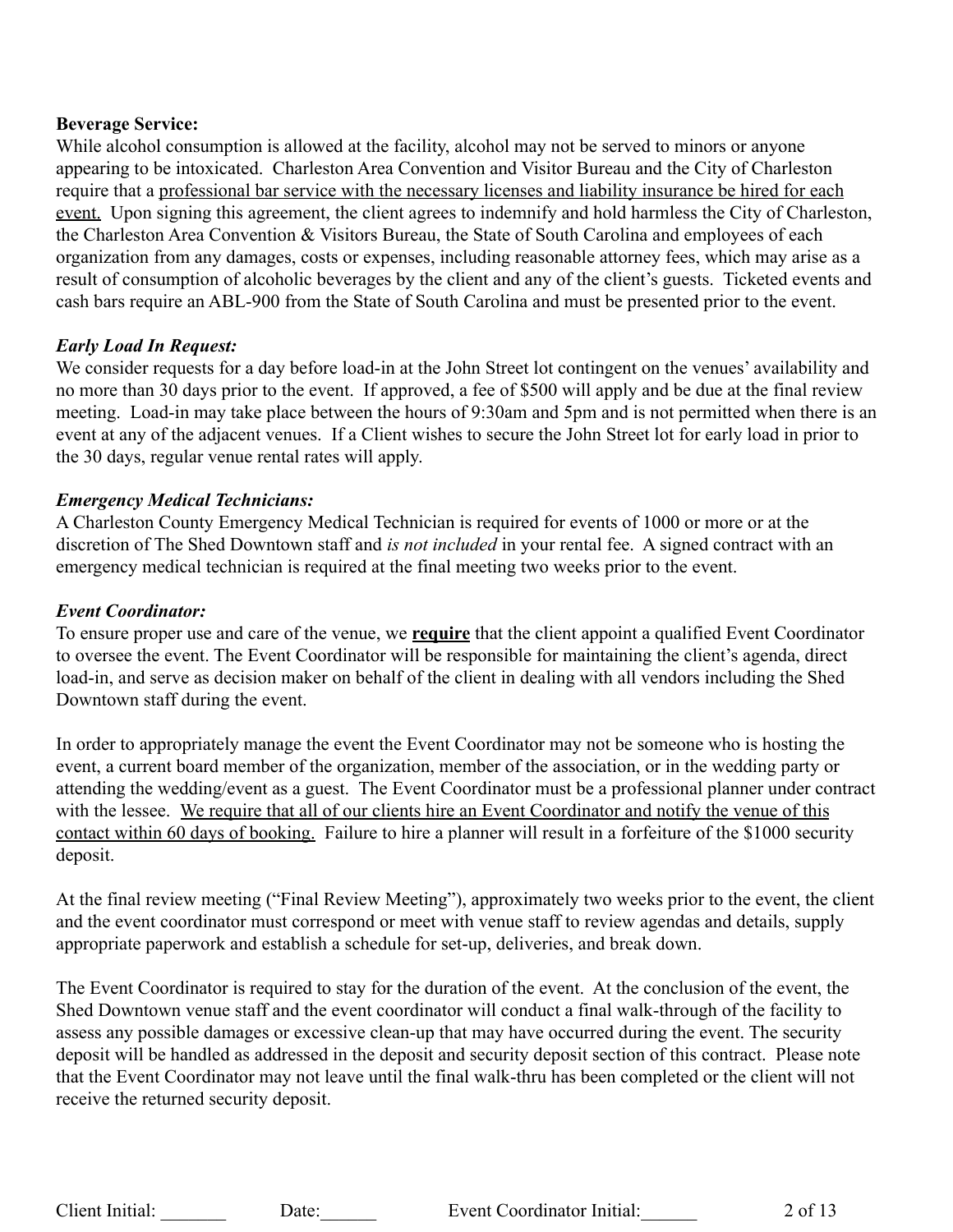#### **Beverage Service:**

While alcohol consumption is allowed at the facility, alcohol may not be served to minors or anyone appearing to be intoxicated. Charleston Area Convention and Visitor Bureau and the City of Charleston require that a professional bar service with the necessary licenses and liability insurance be hired for each event. Upon signing this agreement, the client agrees to indemnify and hold harmless the City of Charleston, the Charleston Area Convention & Visitors Bureau, the State of South Carolina and employees of each organization from any damages, costs or expenses, including reasonable attorney fees, which may arise as a result of consumption of alcoholic beverages by the client and any of the client's guests. Ticketed events and cash bars require an ABL-900 from the State of South Carolina and must be presented prior to the event.

#### *Early Load In Request:*

We consider requests for a day before load-in at the John Street lot contingent on the venues' availability and no more than 30 days prior to the event. If approved, a fee of \$500 will apply and be due at the final review meeting. Load-in may take place between the hours of 9:30am and 5pm and is not permitted when there is an event at any of the adjacent venues. If a Client wishes to secure the John Street lot for early load in prior to the 30 days, regular venue rental rates will apply.

#### *Emergency Medical Technicians:*

A Charleston County Emergency Medical Technician is required for events of 1000 or more or at the discretion of The Shed Downtown staff and *is not included* in your rental fee. A signed contract with an emergency medical technician is required at the final meeting two weeks prior to the event.

#### *Event Coordinator:*

To ensure proper use and care of the venue, we **require** that the client appoint a qualified Event Coordinator to oversee the event. The Event Coordinator will be responsible for maintaining the client's agenda, direct load-in, and serve as decision maker on behalf of the client in dealing with all vendors including the Shed Downtown staff during the event.

In order to appropriately manage the event the Event Coordinator may not be someone who is hosting the event, a current board member of the organization, member of the association, or in the wedding party or attending the wedding/event as a guest. The Event Coordinator must be a professional planner under contract with the lessee. We require that all of our clients hire an Event Coordinator and notify the venue of this contact within 60 days of booking. Failure to hire a planner will result in a forfeiture of the \$1000 security deposit.

At the final review meeting ("Final Review Meeting"), approximately two weeks prior to the event, the client and the event coordinator must correspond or meet with venue staff to review agendas and details, supply appropriate paperwork and establish a schedule for set-up, deliveries, and break down.

The Event Coordinator is required to stay for the duration of the event. At the conclusion of the event, the Shed Downtown venue staff and the event coordinator will conduct a final walk-through of the facility to assess any possible damages or excessive clean-up that may have occurred during the event. The security deposit will be handled as addressed in the deposit and security deposit section of this contract. Please note that the Event Coordinator may not leave until the final walk-thru has been completed or the client will not receive the returned security deposit.

Client Initial: Date: Date: Event Coordinator Initial: 2 of 13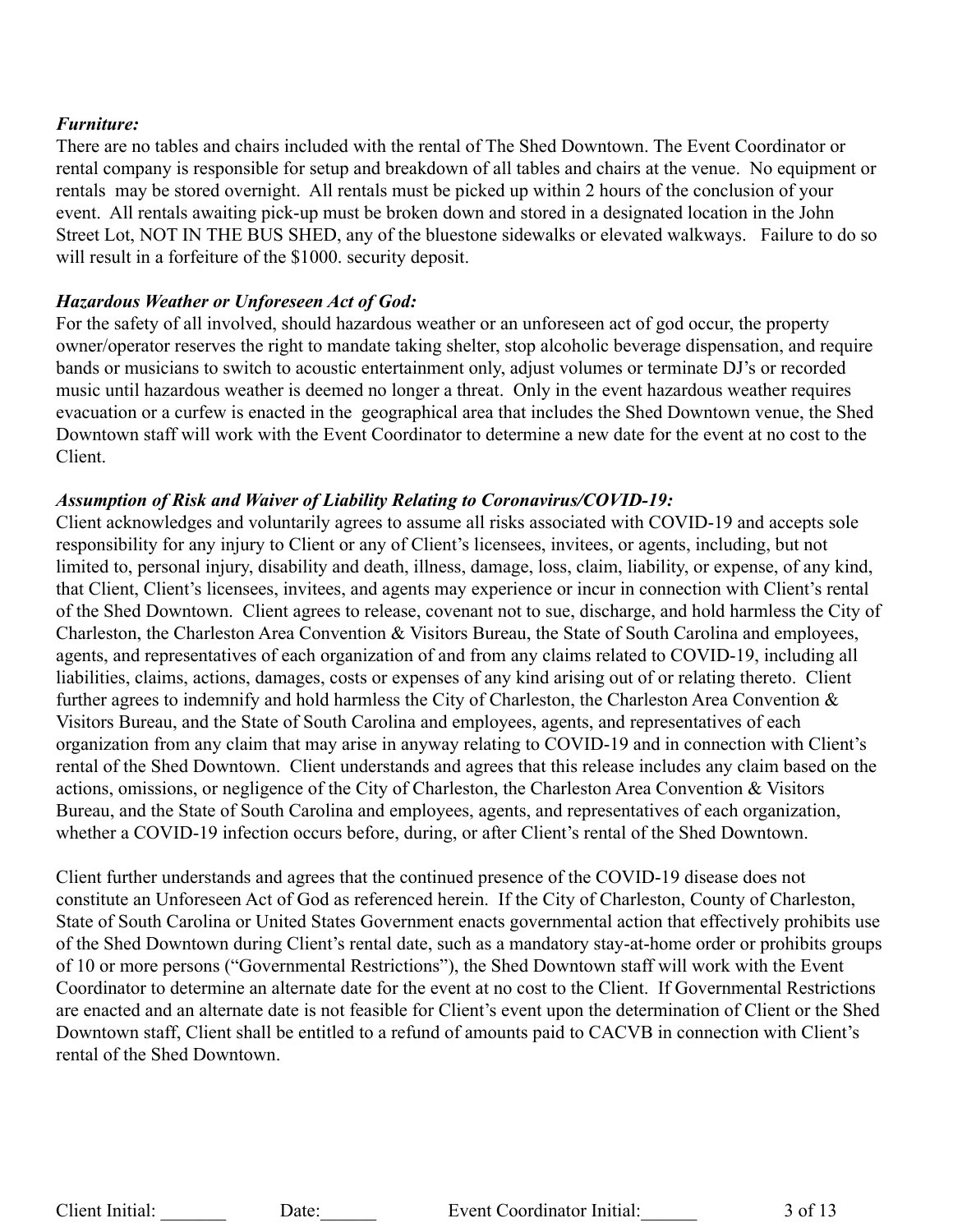#### *Furniture:*

There are no tables and chairs included with the rental of The Shed Downtown. The Event Coordinator or rental company is responsible for setup and breakdown of all tables and chairs at the venue. No equipment or rentals may be stored overnight. All rentals must be picked up within 2 hours of the conclusion of your event. All rentals awaiting pick-up must be broken down and stored in a designated location in the John Street Lot, NOT IN THE BUS SHED, any of the bluestone sidewalks or elevated walkways. Failure to do so will result in a forfeiture of the \$1000. security deposit.

#### *Hazardous Weather or Unforeseen Act of God:*

For the safety of all involved, should hazardous weather or an unforeseen act of god occur, the property owner/operator reserves the right to mandate taking shelter, stop alcoholic beverage dispensation, and require bands or musicians to switch to acoustic entertainment only, adjust volumes or terminate DJ's or recorded music until hazardous weather is deemed no longer a threat. Only in the event hazardous weather requires evacuation or a curfew is enacted in the geographical area that includes the Shed Downtown venue, the Shed Downtown staff will work with the Event Coordinator to determine a new date for the event at no cost to the Client.

#### *Assumption of Risk and Waiver of Liability Relating to Coronavirus/COVID-19:*

Client acknowledges and voluntarily agrees to assume all risks associated with COVID-19 and accepts sole responsibility for any injury to Client or any of Client's licensees, invitees, or agents, including, but not limited to, personal injury, disability and death, illness, damage, loss, claim, liability, or expense, of any kind, that Client, Client's licensees, invitees, and agents may experience or incur in connection with Client's rental of the Shed Downtown. Client agrees to release, covenant not to sue, discharge, and hold harmless the City of Charleston, the Charleston Area Convention & Visitors Bureau, the State of South Carolina and employees, agents, and representatives of each organization of and from any claims related to COVID-19, including all liabilities, claims, actions, damages, costs or expenses of any kind arising out of or relating thereto. Client further agrees to indemnify and hold harmless the City of Charleston, the Charleston Area Convention & Visitors Bureau, and the State of South Carolina and employees, agents, and representatives of each organization from any claim that may arise in anyway relating to COVID-19 and in connection with Client's rental of the Shed Downtown. Client understands and agrees that this release includes any claim based on the actions, omissions, or negligence of the City of Charleston, the Charleston Area Convention & Visitors Bureau, and the State of South Carolina and employees, agents, and representatives of each organization, whether a COVID-19 infection occurs before, during, or after Client's rental of the Shed Downtown.

Client further understands and agrees that the continued presence of the COVID-19 disease does not constitute an Unforeseen Act of God as referenced herein. If the City of Charleston, County of Charleston, State of South Carolina or United States Government enacts governmental action that effectively prohibits use of the Shed Downtown during Client's rental date, such as a mandatory stay-at-home order or prohibits groups of 10 or more persons ("Governmental Restrictions"), the Shed Downtown staff will work with the Event Coordinator to determine an alternate date for the event at no cost to the Client. If Governmental Restrictions are enacted and an alternate date is not feasible for Client's event upon the determination of Client or the Shed Downtown staff, Client shall be entitled to a refund of amounts paid to CACVB in connection with Client's rental of the Shed Downtown.

Client Initial: Date: Date: Event Coordinator Initial: 3 of 13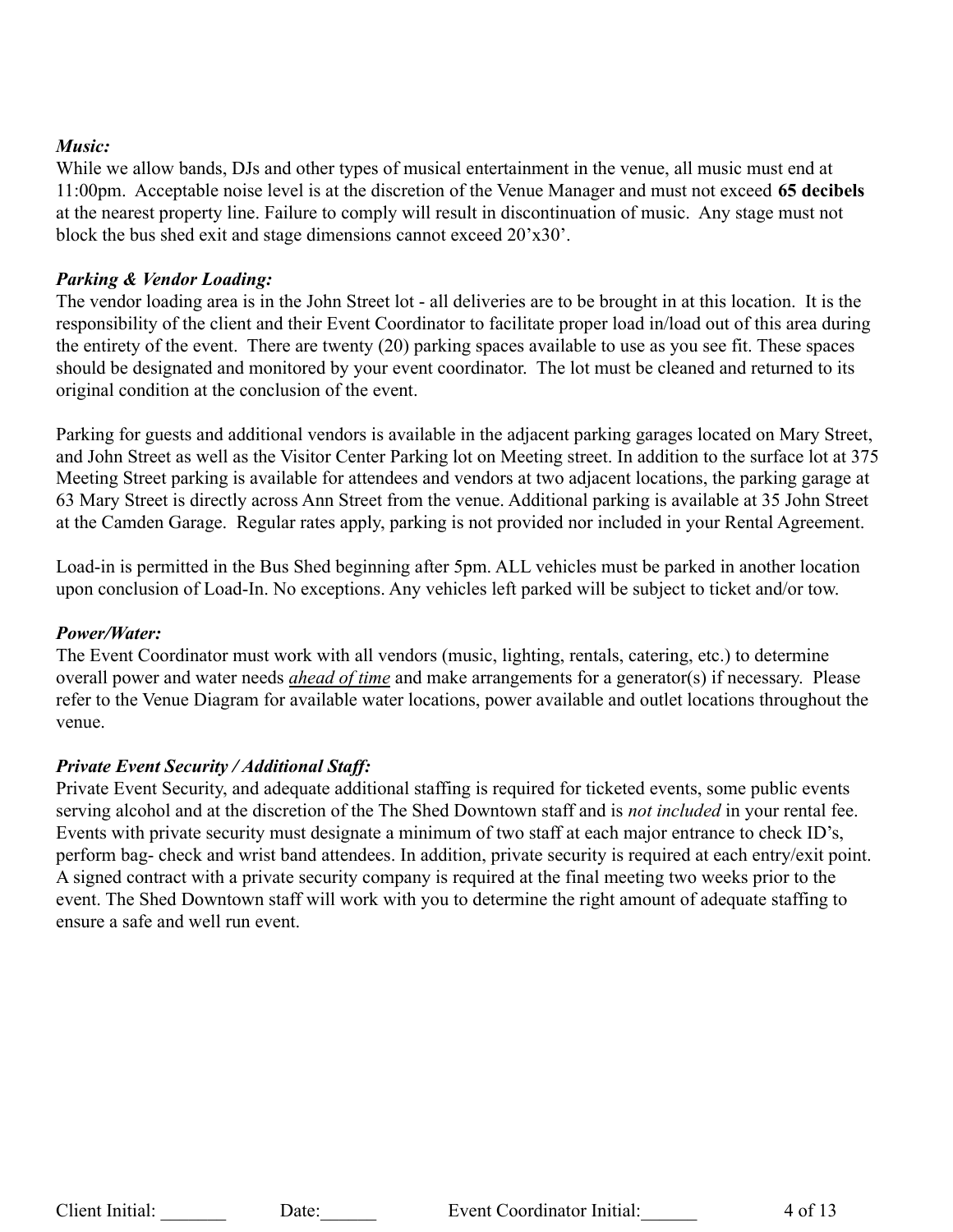## *Music:*

While we allow bands, DJs and other types of musical entertainment in the venue, all music must end at 11:00pm. Acceptable noise level is at the discretion of the Venue Manager and must not exceed **65 decibels** at the nearest property line. Failure to comply will result in discontinuation of music. Any stage must not block the bus shed exit and stage dimensions cannot exceed 20'x30'.

## *Parking & Vendor Loading:*

The vendor loading area is in the John Street lot - all deliveries are to be brought in at this location. It is the responsibility of the client and their Event Coordinator to facilitate proper load in/load out of this area during the entirety of the event. There are twenty (20) parking spaces available to use as you see fit. These spaces should be designated and monitored by your event coordinator. The lot must be cleaned and returned to its original condition at the conclusion of the event.

Parking for guests and additional vendors is available in the adjacent parking garages located on Mary Street, and John Street as well as the Visitor Center Parking lot on Meeting street. In addition to the surface lot at 375 Meeting Street parking is available for attendees and vendors at two adjacent locations, the parking garage at 63 Mary Street is directly across Ann Street from the venue. Additional parking is available at 35 John Street at the Camden Garage. Regular rates apply, parking is not provided nor included in your Rental Agreement.

Load-in is permitted in the Bus Shed beginning after 5pm. ALL vehicles must be parked in another location upon conclusion of Load-In. No exceptions. Any vehicles left parked will be subject to ticket and/or tow.

## *Power/Water:*

The Event Coordinator must work with all vendors (music, lighting, rentals, catering, etc.) to determine overall power and water needs *ahead of time* and make arrangements for a generator(s) if necessary. Please refer to the Venue Diagram for available water locations, power available and outlet locations throughout the venue.

## *Private Event Security / Additional Staff:*

Private Event Security, and adequate additional staffing is required for ticketed events, some public events serving alcohol and at the discretion of the The Shed Downtown staff and is *not included* in your rental fee. Events with private security must designate a minimum of two staff at each major entrance to check ID's, perform bag- check and wrist band attendees. In addition, private security is required at each entry/exit point. A signed contract with a private security company is required at the final meeting two weeks prior to the event. The Shed Downtown staff will work with you to determine the right amount of adequate staffing to ensure a safe and well run event.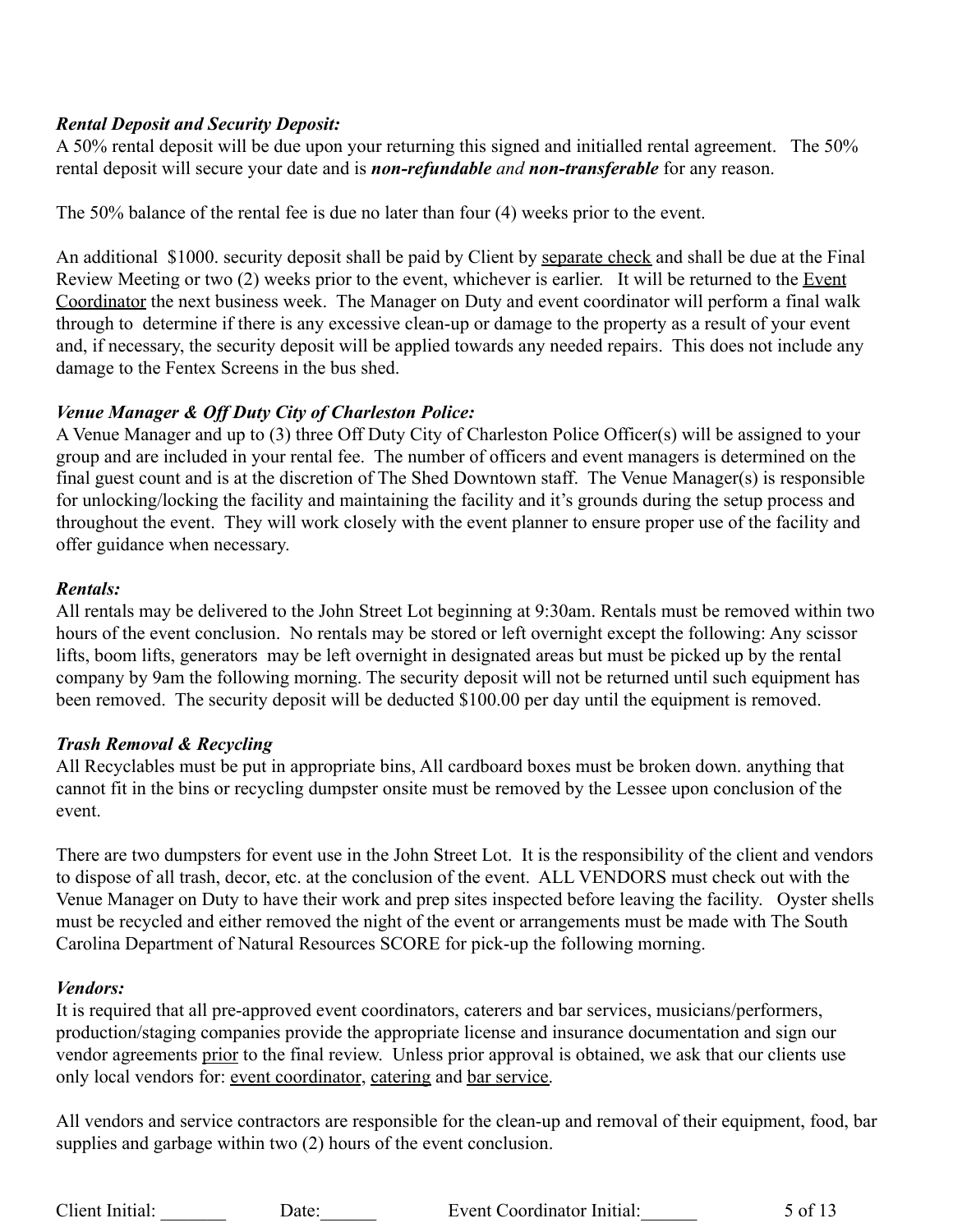## *Rental Deposit and Security Deposit:*

A 50% rental deposit will be due upon your returning this signed and initialled rental agreement. The 50% rental deposit will secure your date and is *non-refundable and non-transferable* for any reason.

The 50% balance of the rental fee is due no later than four (4) weeks prior to the event.

An additional \$1000. security deposit shall be paid by Client by separate check and shall be due at the Final Review Meeting or two (2) weeks prior to the event, whichever is earlier. It will be returned to the Event Coordinator the next business week. The Manager on Duty and event coordinator will perform a final walk through to determine if there is any excessive clean-up or damage to the property as a result of your event and, if necessary, the security deposit will be applied towards any needed repairs. This does not include any damage to the Fentex Screens in the bus shed.

## *Venue Manager & Off Duty City of Charleston Police:*

A Venue Manager and up to (3) three Off Duty City of Charleston Police Officer(s) will be assigned to your group and are included in your rental fee. The number of officers and event managers is determined on the final guest count and is at the discretion of The Shed Downtown staff. The Venue Manager(s) is responsible for unlocking/locking the facility and maintaining the facility and it's grounds during the setup process and throughout the event. They will work closely with the event planner to ensure proper use of the facility and offer guidance when necessary.

## *Rentals:*

All rentals may be delivered to the John Street Lot beginning at 9:30am. Rentals must be removed within two hours of the event conclusion. No rentals may be stored or left overnight except the following: Any scissor lifts, boom lifts, generators may be left overnight in designated areas but must be picked up by the rental company by 9am the following morning. The security deposit will not be returned until such equipment has been removed. The security deposit will be deducted \$100.00 per day until the equipment is removed.

## *Trash Removal & Recycling*

All Recyclables must be put in appropriate bins, All cardboard boxes must be broken down. anything that cannot fit in the bins or recycling dumpster onsite must be removed by the Lessee upon conclusion of the event.

There are two dumpsters for event use in the John Street Lot. It is the responsibility of the client and vendors to dispose of all trash, decor, etc. at the conclusion of the event. ALL VENDORS must check out with the Venue Manager on Duty to have their work and prep sites inspected before leaving the facility. Oyster shells must be recycled and either removed the night of the event or arrangements must be made with The South Carolina Department of Natural Resources SCORE for pick-up the following morning.

## *Vendors:*

It is required that all pre-approved event coordinators, caterers and bar services, musicians/performers, production/staging companies provide the appropriate license and insurance documentation and sign our vendor agreements prior to the final review. Unless prior approval is obtained, we ask that our clients use only local vendors for: event coordinator, catering and bar service.

All vendors and service contractors are responsible for the clean-up and removal of their equipment, food, bar supplies and garbage within two (2) hours of the event conclusion.

Client Initial: Date: Date: Event Coordinator Initial: 5 of 13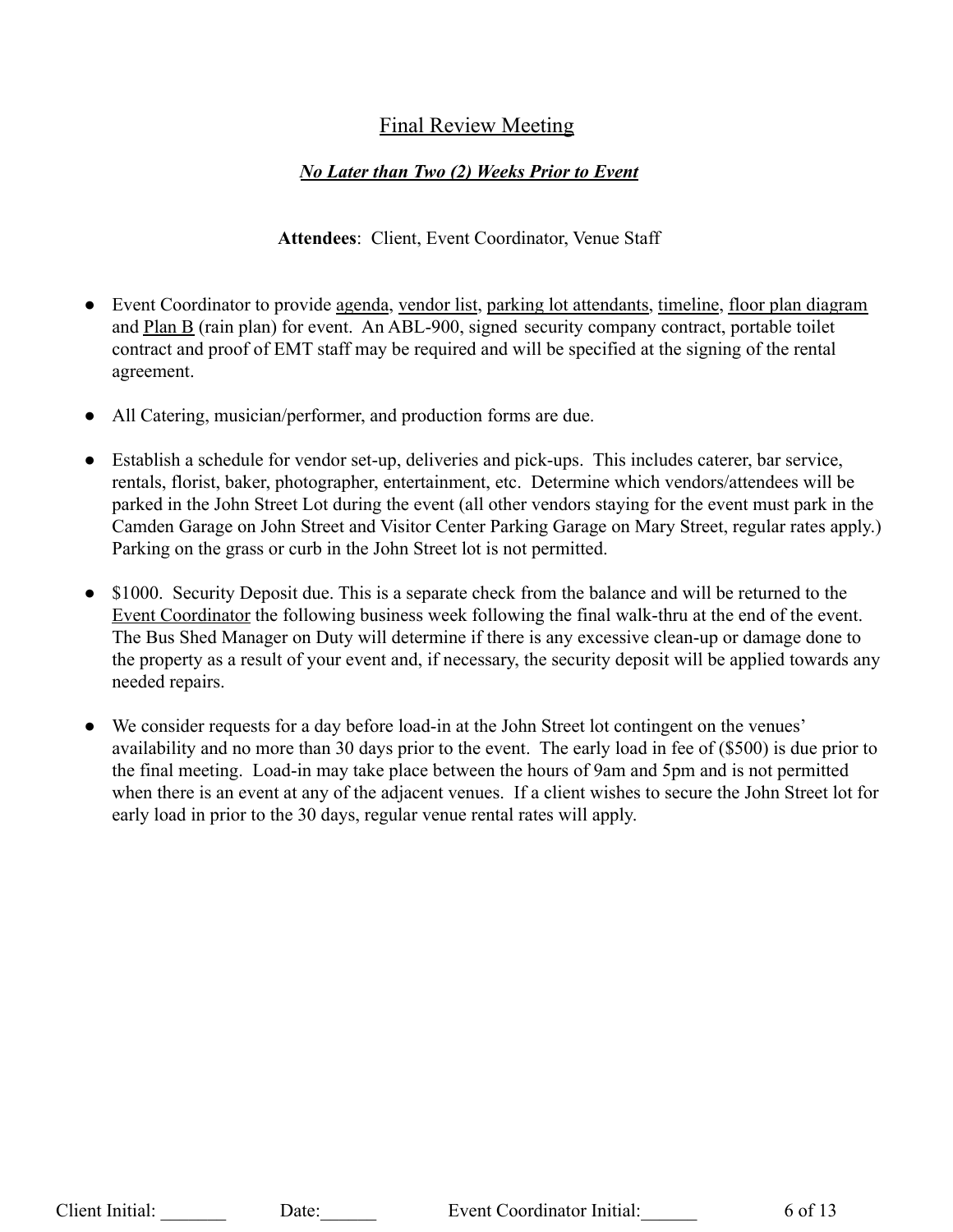# Final Review Meeting

## *No Later than Two (2) Weeks Prior to Event*

## **Attendees**: Client, Event Coordinator, Venue Staff

- Event Coordinator to provide agenda, vendor list, parking lot attendants, timeline, floor plan diagram and Plan B (rain plan) for event. An ABL-900, signed security company contract, portable toilet contract and proof of EMT staff may be required and will be specified at the signing of the rental agreement.
- All Catering, musician/performer, and production forms are due.
- Establish a schedule for vendor set-up, deliveries and pick-ups. This includes caterer, bar service, rentals, florist, baker, photographer, entertainment, etc. Determine which vendors/attendees will be parked in the John Street Lot during the event (all other vendors staying for the event must park in the Camden Garage on John Street and Visitor Center Parking Garage on Mary Street, regular rates apply.) Parking on the grass or curb in the John Street lot is not permitted.
- \$1000. Security Deposit due. This is a separate check from the balance and will be returned to the Event Coordinator the following business week following the final walk-thru at the end of the event. The Bus Shed Manager on Duty will determine if there is any excessive clean-up or damage done to the property as a result of your event and, if necessary, the security deposit will be applied towards any needed repairs.
- We consider requests for a day before load-in at the John Street lot contingent on the venues' availability and no more than 30 days prior to the event. The early load in fee of (\$500) is due prior to the final meeting. Load-in may take place between the hours of 9am and 5pm and is not permitted when there is an event at any of the adjacent venues. If a client wishes to secure the John Street lot for early load in prior to the 30 days, regular venue rental rates will apply.

Client Initial: Date: Date: Event Coordinator Initial: 6 of 13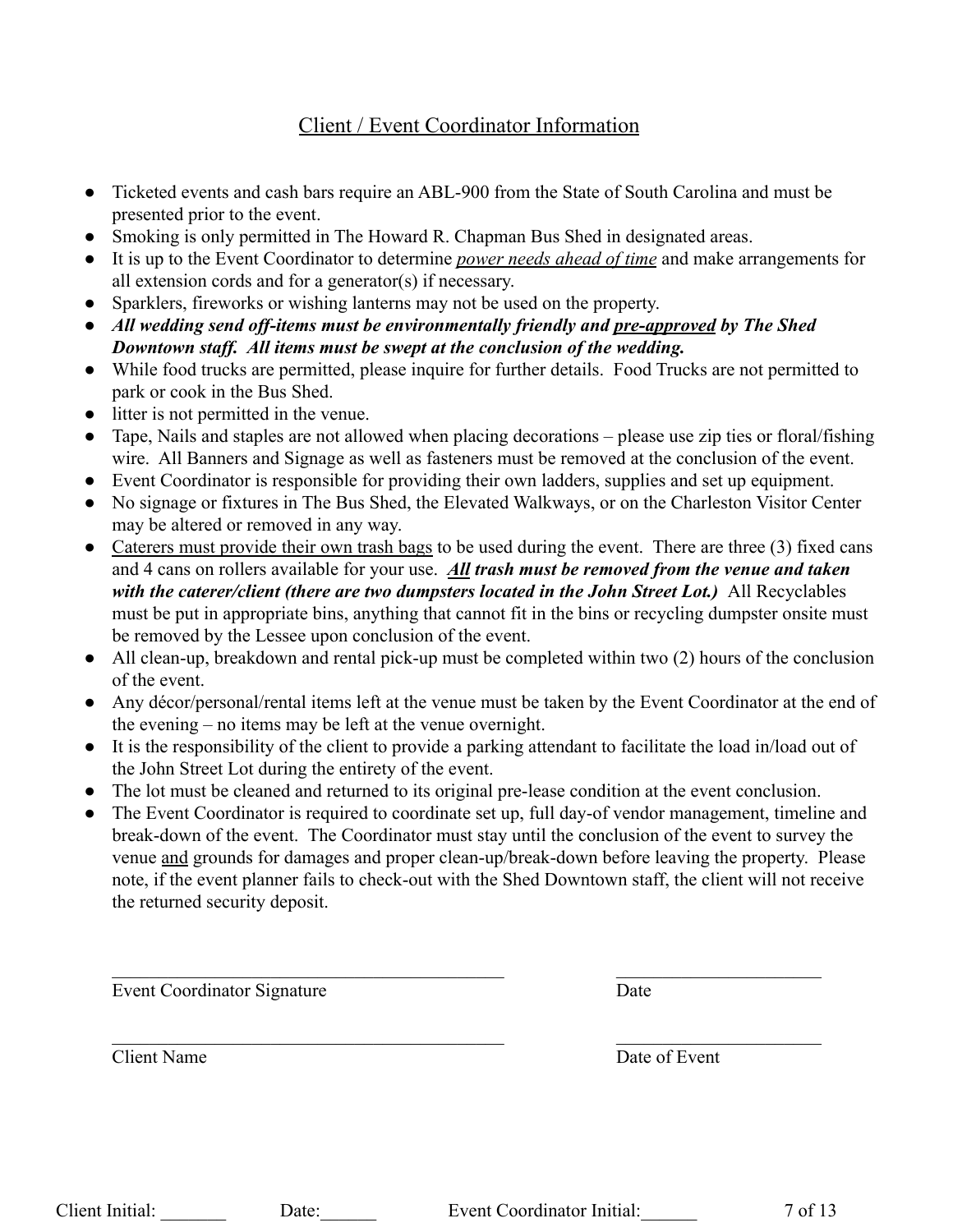# Client / Event Coordinator Information

- Ticketed events and cash bars require an ABL-900 from the State of South Carolina and must be presented prior to the event.
- Smoking is only permitted in The Howard R. Chapman Bus Shed in designated areas.
- It is up to the Event Coordinator to determine *power needs ahead of time* and make arrangements for all extension cords and for a generator(s) if necessary.
- Sparklers, fireworks or wishing lanterns may not be used on the property.
- *● All wedding send off-items must be environmentally friendly and pre-approved by The Shed Downtown staff. All items must be swept at the conclusion of the wedding.*
- While food trucks are permitted, please inquire for further details. Food Trucks are not permitted to park or cook in the Bus Shed.
- litter is not permitted in the venue.
- Tape, Nails and staples are not allowed when placing decorations please use zip ties or floral/fishing wire. All Banners and Signage as well as fasteners must be removed at the conclusion of the event.
- Event Coordinator is responsible for providing their own ladders, supplies and set up equipment.
- No signage or fixtures in The Bus Shed, the Elevated Walkways, or on the Charleston Visitor Center may be altered or removed in any way.
- Caterers must provide their own trash bags to be used during the event. There are three (3) fixed cans and 4 cans on rollers available for your use. *All trash must be removed from the venue and taken with the caterer/client (there are two dumpsters located in the John Street Lot.)* All Recyclables must be put in appropriate bins, anything that cannot fit in the bins or recycling dumpster onsite must be removed by the Lessee upon conclusion of the event.
- All clean-up, breakdown and rental pick-up must be completed within two (2) hours of the conclusion of the event.
- Any décor/personal/rental items left at the venue must be taken by the Event Coordinator at the end of the evening – no items may be left at the venue overnight.
- It is the responsibility of the client to provide a parking attendant to facilitate the load in/load out of the John Street Lot during the entirety of the event.
- The lot must be cleaned and returned to its original pre-lease condition at the event conclusion.
- The Event Coordinator is required to coordinate set up, full day-of vendor management, timeline and break-down of the event. The Coordinator must stay until the conclusion of the event to survey the venue and grounds for damages and proper clean-up/break-down before leaving the property. Please note, if the event planner fails to check-out with the Shed Downtown staff, the client will not receive the returned security deposit.

 $\mathcal{L}_\text{max} = \frac{1}{2} \sum_{i=1}^n \mathcal{L}_\text{max}(\mathbf{z}_i - \mathbf{z}_i)$ 

 $\mathcal{L}_\text{max} = \frac{1}{2} \sum_{i=1}^n \mathcal{L}_\text{max}(\mathbf{z}_i - \mathbf{z}_i)$ 

Event Coordinator Signature Date

Client Name Date of Event

| Client Initial: |  | Da |
|-----------------|--|----|
|-----------------|--|----|

te: Event Coordinator Initial: 7 of 13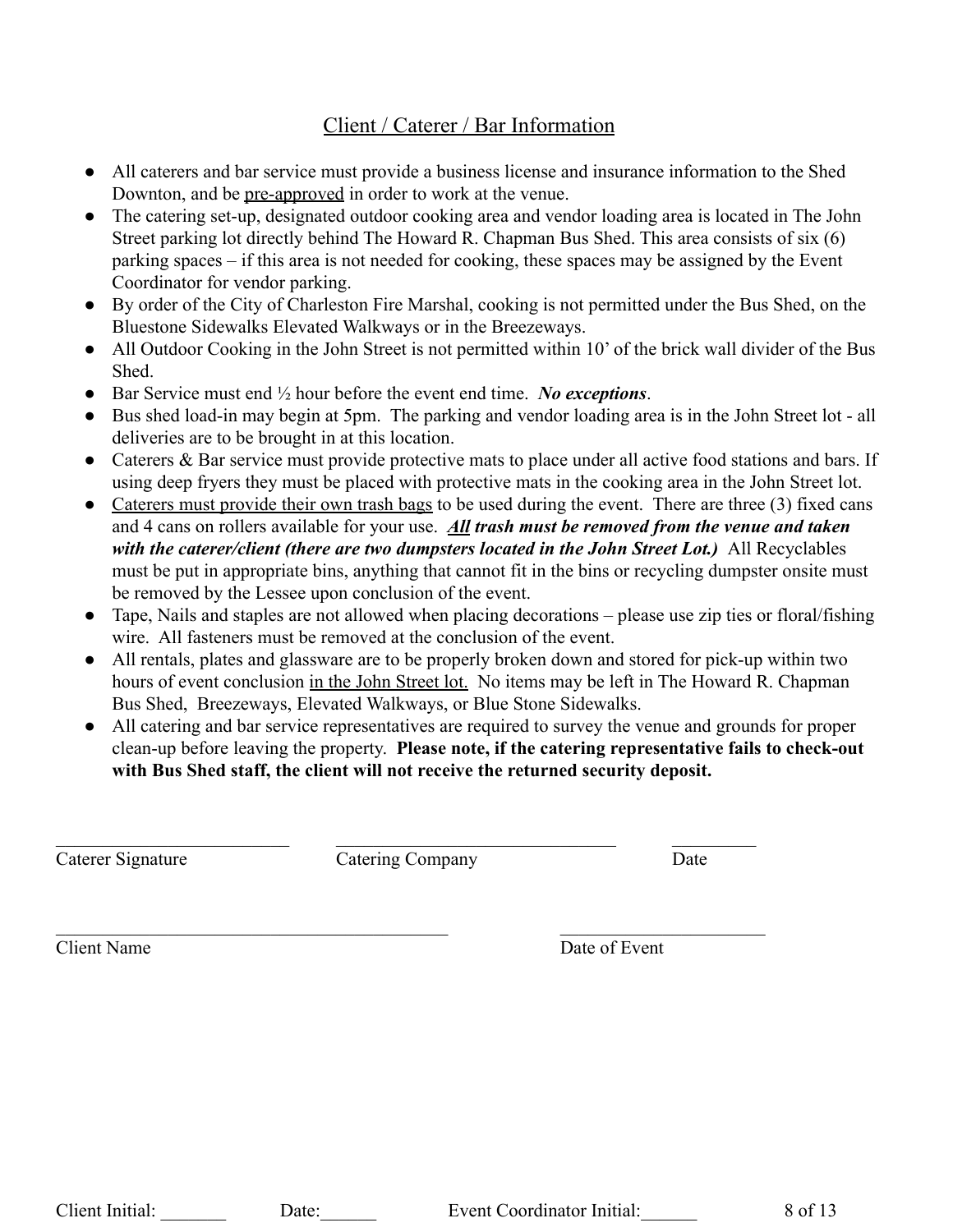# Client / Caterer / Bar Information

- All caterers and bar service must provide a business license and insurance information to the Shed Downton, and be pre-approved in order to work at the venue.
- **●** The catering set-up, designated outdoor cooking area and vendor loading area is located in The John Street parking lot directly behind The Howard R. Chapman Bus Shed. This area consists of six (6) parking spaces – if this area is not needed for cooking, these spaces may be assigned by the Event Coordinator for vendor parking.
- **●** By order of the City of Charleston Fire Marshal, cooking is not permitted under the Bus Shed, on the Bluestone Sidewalks Elevated Walkways or in the Breezeways.
- **●** All Outdoor Cooking in the John Street is not permitted within 10' of the brick wall divider of the Bus Shed.
- Bar Service must end ½ hour before the event end time. *No exceptions*.
- Bus shed load-in may begin at 5pm. The parking and vendor loading area is in the John Street lot all deliveries are to be brought in at this location.
- Caterers & Bar service must provide protective mats to place under all active food stations and bars. If using deep fryers they must be placed with protective mats in the cooking area in the John Street lot.
- Caterers must provide their own trash bags to be used during the event. There are three (3) fixed cans and 4 cans on rollers available for your use. *All trash must be removed from the venue and taken with the caterer/client (there are two dumpsters located in the John Street Lot.)* All Recyclables must be put in appropriate bins, anything that cannot fit in the bins or recycling dumpster onsite must be removed by the Lessee upon conclusion of the event.
- Tape, Nails and staples are not allowed when placing decorations please use zip ties or floral/fishing wire. All fasteners must be removed at the conclusion of the event.
- All rentals, plates and glassware are to be properly broken down and stored for pick-up within two hours of event conclusion in the John Street lot. No items may be left in The Howard R. Chapman Bus Shed, Breezeways, Elevated Walkways, or Blue Stone Sidewalks.
- All catering and bar service representatives are required to survey the venue and grounds for proper clean-up before leaving the property. **Please note, if the catering representative fails to check-out with Bus Shed staff, the client will not receive the returned security deposit.**

 $\mathcal{L}_\text{max} = \frac{1}{2} \sum_{i=1}^n \mathcal{L}_\text{max}(\mathbf{z}_i - \mathbf{z}_i)$ Caterer Signature Catering Company Date

 $\mathcal{L}_\text{max} = \frac{1}{2} \sum_{i=1}^n \mathcal{L}_\text{max}(\mathbf{z}_i - \mathbf{z}_i)$ 

Client Name Date of Event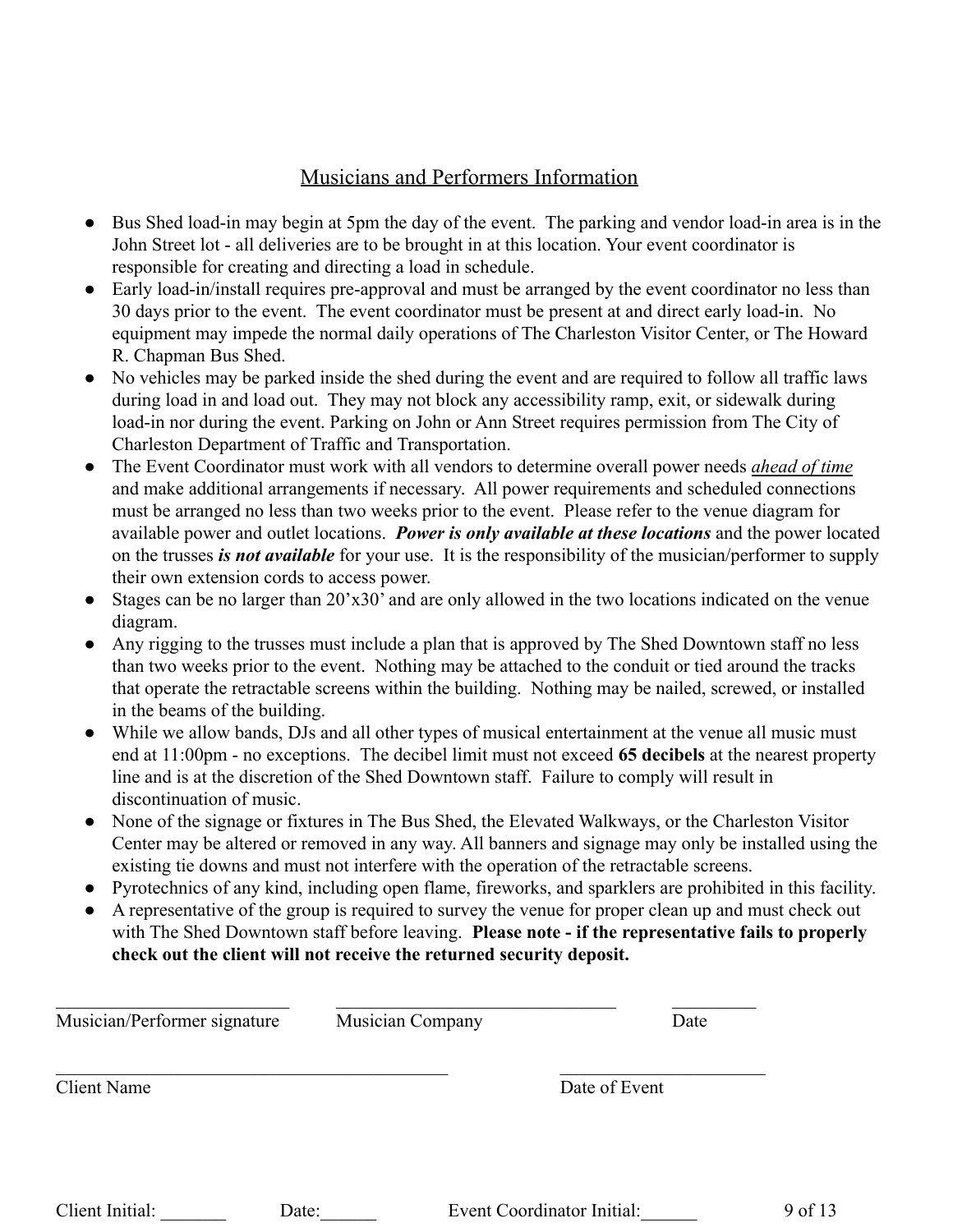# Musicians and Performers Information

- Bus Shed load-in may begin at 5pm the day of the event. The parking and vendor load-in area is in the John Street lot - all deliveries are to be brought in at this location. Your event coordinator is responsible for creating and directing a load in schedule.
- Early load-in/install requires pre-approval and must be arranged by the event coordinator no less than 30 days prior to the event. The event coordinator must be present at and direct early load-in. No equipment may impede the normal daily operations of The Charleston Visitor Center, or The Howard R. Chapman Bus Shed.
- No vehicles may be parked inside the shed during the event and are required to follow all traffic laws during load in and load out. They may not block any accessibility ramp, exit, or sidewalk during load-in nor during the event. Parking on John or Ann Street requires permission from The City of Charleston Department of Traffic and Transportation.
- The Event Coordinator must work with all vendors to determine overall power needs *ahead of time* and make additional arrangements if necessary. All power requirements and scheduled connections must be arranged no less than two weeks prior to the event. Please refer to the venue diagram for available power and outlet locations. *Power is only available at these locations* and the power located on the trusses *is not available* for your use. It is the responsibility of the musician/performer to supply their own extension cords to access power.
- Stages can be no larger than 20'x30' and are only allowed in the two locations indicated on the venue diagram.
- Any rigging to the trusses must include a plan that is approved by The Shed Downtown staff no less than two weeks prior to the event. Nothing may be attached to the conduit or tied around the tracks that operate the retractable screens within the building. Nothing may be nailed, screwed, or installed in the beams of the building.
- While we allow bands, DJs and all other types of musical entertainment at the venue all music must end at 11:00pm - no exceptions. The decibel limit must not exceed **65 decibels** at the nearest property line and is at the discretion of the Shed Downtown staff. Failure to comply will result in discontinuation of music.
- None of the signage or fixtures in The Bus Shed, the Elevated Walkways, or the Charleston Visitor Center may be altered or removed in any way. All banners and signage may only be installed using the existing tie downs and must not interfere with the operation of the retractable screens.
- Pyrotechnics of any kind, including open flame, fireworks, and sparklers are prohibited in this facility.
- A representative of the group is required to survey the venue for proper clean up and must check out with The Shed Downtown staff before leaving. **Please note - if the representative fails to properly check out the client will not receive the returned security deposit.**

| <b>Client Name</b> | Date of Event |
|--------------------|---------------|
|                    |               |

Client Initial: Date: Date: Event Coordinator Initial: 9 of 13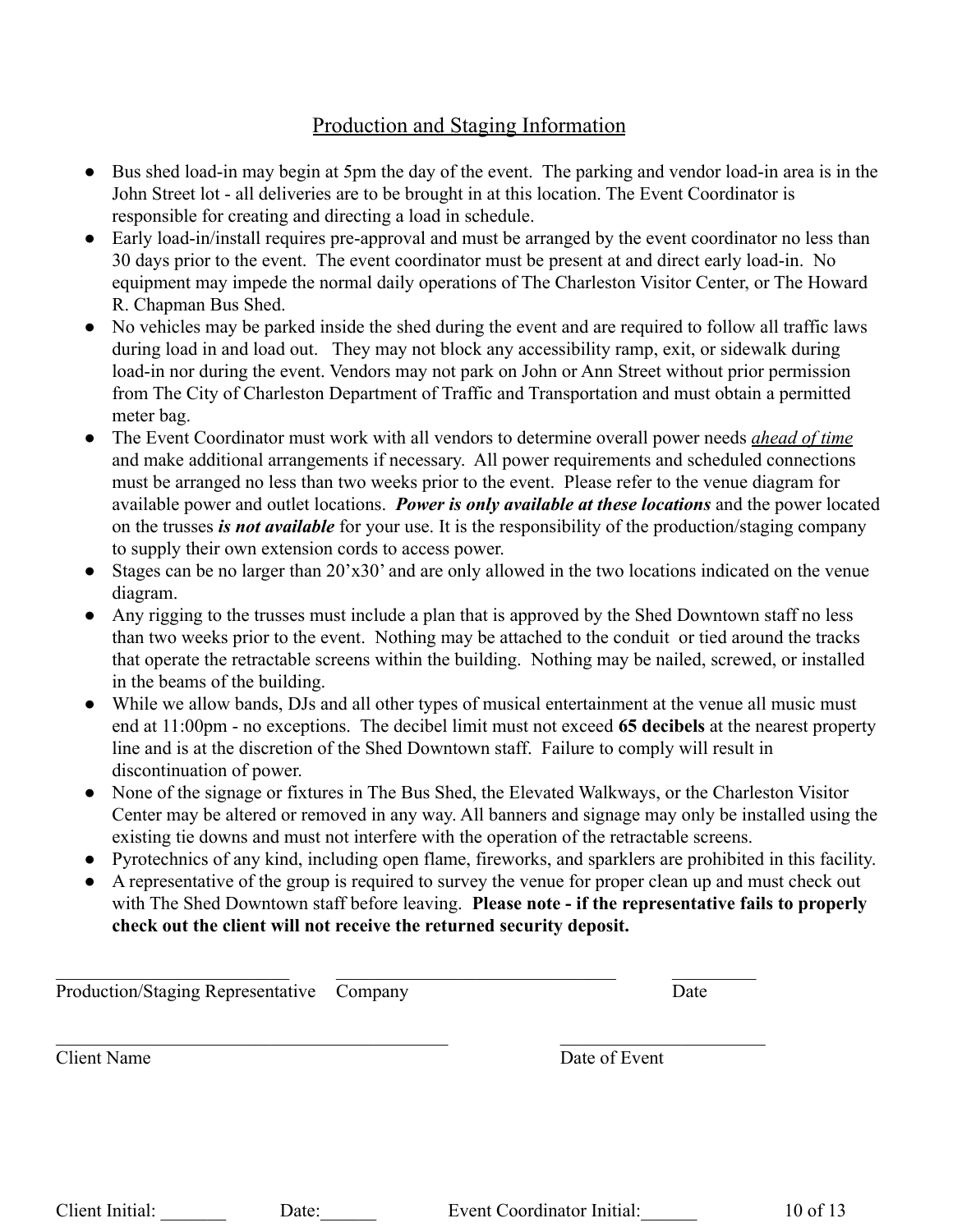# Production and Staging Information

- Bus shed load-in may begin at 5pm the day of the event. The parking and vendor load-in area is in the John Street lot - all deliveries are to be brought in at this location. The Event Coordinator is responsible for creating and directing a load in schedule.
- Early load-in/install requires pre-approval and must be arranged by the event coordinator no less than 30 days prior to the event. The event coordinator must be present at and direct early load-in. No equipment may impede the normal daily operations of The Charleston Visitor Center, or The Howard R. Chapman Bus Shed.
- No vehicles may be parked inside the shed during the event and are required to follow all traffic laws during load in and load out. They may not block any accessibility ramp, exit, or sidewalk during load-in nor during the event. Vendors may not park on John or Ann Street without prior permission from The City of Charleston Department of Traffic and Transportation and must obtain a permitted meter bag.
- The Event Coordinator must work with all vendors to determine overall power needs *ahead of time* and make additional arrangements if necessary. All power requirements and scheduled connections must be arranged no less than two weeks prior to the event. Please refer to the venue diagram for available power and outlet locations. *Power is only available at these locations* and the power located on the trusses *is not available* for your use. It is the responsibility of the production/staging company to supply their own extension cords to access power.
- Stages can be no larger than 20'x30' and are only allowed in the two locations indicated on the venue diagram.
- Any rigging to the trusses must include a plan that is approved by the Shed Downtown staff no less than two weeks prior to the event. Nothing may be attached to the conduit or tied around the tracks that operate the retractable screens within the building. Nothing may be nailed, screwed, or installed in the beams of the building.
- While we allow bands, DJs and all other types of musical entertainment at the venue all music must end at 11:00pm - no exceptions. The decibel limit must not exceed **65 decibels** at the nearest property line and is at the discretion of the Shed Downtown staff. Failure to comply will result in discontinuation of power.
- None of the signage or fixtures in The Bus Shed, the Elevated Walkways, or the Charleston Visitor Center may be altered or removed in any way. All banners and signage may only be installed using the existing tie downs and must not interfere with the operation of the retractable screens.
- Pyrotechnics of any kind, including open flame, fireworks, and sparklers are prohibited in this facility.
- A representative of the group is required to survey the venue for proper clean up and must check out with The Shed Downtown staff before leaving. **Please note - if the representative fails to properly check out the client will not receive the returned security deposit.**

| Production/Staging Representative Company | Date          |
|-------------------------------------------|---------------|
| <b>Client Name</b>                        | Date of Event |
|                                           |               |
|                                           |               |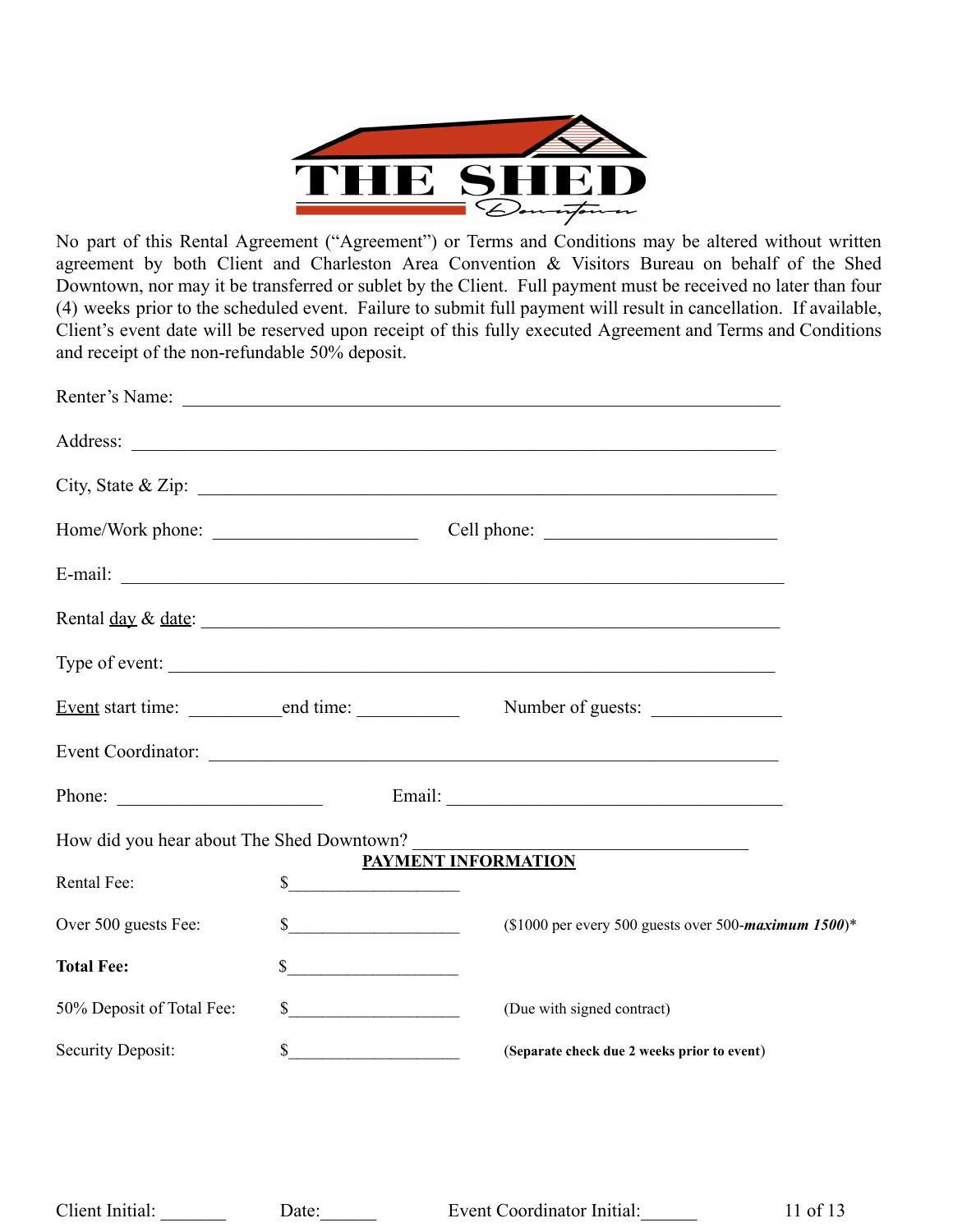

No part of this Rental Agreement ("Agreement") or Terms and Conditions may be altered without written agreement by both Client and Charleston Area Convention & Visitors Bureau on behalf of the Shed Downtown, nor may it be transferred or sublet by the Client. Full payment must be received no later than four (4) weeks prior to the scheduled event. Failure to submit full payment will result in cancellation. If available, Client's event date will be reserved upon receipt of this fully executed Agreement and Terms and Conditions and receipt of the non-refundable 50% deposit.

|                                           |               | Renter's Name:                                                                                                       |
|-------------------------------------------|---------------|----------------------------------------------------------------------------------------------------------------------|
|                                           |               |                                                                                                                      |
|                                           |               | City, State & Zip: $\overline{\phantom{a}}$                                                                          |
|                                           |               |                                                                                                                      |
|                                           |               |                                                                                                                      |
|                                           |               | Rental <u>day</u> & <u>date</u> :                                                                                    |
|                                           |               | Type of event:                                                                                                       |
|                                           |               | Number of guests:                                                                                                    |
|                                           |               |                                                                                                                      |
|                                           |               |                                                                                                                      |
| How did you hear about The Shed Downtown? |               | <u> 1980 - Johann John Stone, market fan it ferstjer fan it ferstjer fan it ferstjer fan it ferstjer fan it fers</u> |
| Rental Fee:                               | s             | PAYMENT INFORMATION                                                                                                  |
| Over 500 guests Fee:                      |               | (\$1000 per every 500 guests over 500-maximum 1500)*                                                                 |
| <b>Total Fee:</b>                         | $\frac{1}{2}$ |                                                                                                                      |
| 50% Deposit of Total Fee:                 | s             | (Due with signed contract)                                                                                           |
| Security Deposit:                         |               | (Separate check due 2 weeks prior to event)                                                                          |
|                                           |               |                                                                                                                      |
|                                           |               |                                                                                                                      |

Client Initial: Date: Date: Event Coordinator Initial: 11 of 13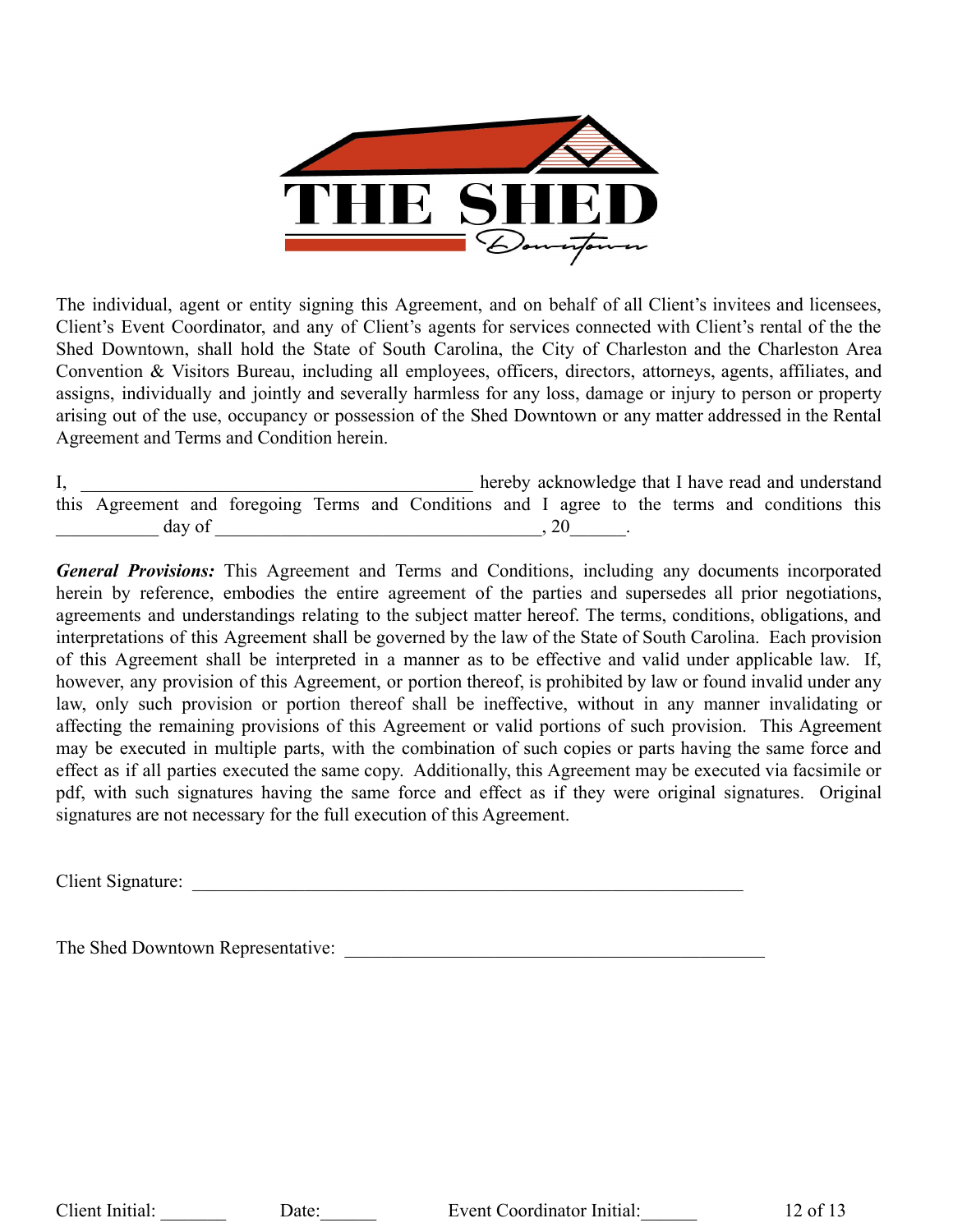

The individual, agent or entity signing this Agreement, and on behalf of all Client's invitees and licensees, Client's Event Coordinator, and any of Client's agents for services connected with Client's rental of the the Shed Downtown, shall hold the State of South Carolina, the City of Charleston and the Charleston Area Convention & Visitors Bureau, including all employees, officers, directors, attorneys, agents, affiliates, and assigns, individually and jointly and severally harmless for any loss, damage or injury to person or property arising out of the use, occupancy or possession of the Shed Downtown or any matter addressed in the Rental Agreement and Terms and Condition herein.

I, the end and understand is the end of the set of the end and understand in the end and understand this Agreement and foregoing Terms and Conditions and I agree to the terms and conditions this  $\frac{day \text{ of } (x,y) \text{ of } (x,y) \text{ of } (x,y) \text{ of } (x,y) \text{ of } (x,y) \text{ of } (x,y) \text{ of } (x,y) \text{ of } (x,y) \text{ of } (x,y) \text{ of } (x,y) \text{ of } (x,y) \text{ of } (x,y) \text{ of } (x,y) \text{ of } (x,y) \text{ of } (x,y) \text{ of } (x,y) \text{ of } (x,y) \text{ of } (x,y) \text{ of } (x,y) \text{ of } (x,y) \text{ of } (x,y) \text{ of } (x,y) \text{ of } (x,y) \text{ of } (x,y)$ 

*General Provisions:* This Agreement and Terms and Conditions, including any documents incorporated herein by reference, embodies the entire agreement of the parties and supersedes all prior negotiations, agreements and understandings relating to the subject matter hereof. The terms, conditions, obligations, and interpretations of this Agreement shall be governed by the law of the State of South Carolina. Each provision of this Agreement shall be interpreted in a manner as to be effective and valid under applicable law. If, however, any provision of this Agreement, or portion thereof, is prohibited by law or found invalid under any law, only such provision or portion thereof shall be ineffective, without in any manner invalidating or affecting the remaining provisions of this Agreement or valid portions of such provision. This Agreement may be executed in multiple parts, with the combination of such copies or parts having the same force and effect as if all parties executed the same copy. Additionally, this Agreement may be executed via facsimile or pdf, with such signatures having the same force and effect as if they were original signatures. Original signatures are not necessary for the full execution of this Agreement.

Client Signature:

The Shed Downtown Representative: \_\_\_\_\_\_\_\_\_\_\_\_\_\_\_\_\_\_\_\_\_\_\_\_\_\_\_\_\_\_\_\_\_\_\_\_\_\_\_\_\_\_\_\_\_